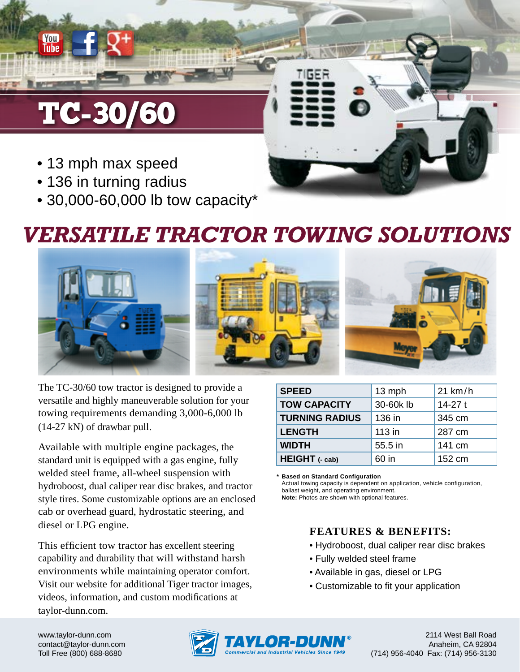# TC-30/60

You Tube

- 13 mph max speed
- 136 in turning radius
- 30,000-60,000 lb tow capacity\*

## *VERSATILE TRACTOR TOWING SOLUTIONS*



The TC-30/60 tow tractor is designed to provide a versatile and highly maneuverable solution for your towing requirements demanding 3,000-6,000 lb (14-27 kN) of drawbar pull.

Available with multiple engine packages, the standard unit is equipped with a gas engine, fully welded steel frame, all-wheel suspension with hydroboost, dual caliper rear disc brakes, and tractor style tires. Some customizable options are an enclosed cab or overhead guard, hydrostatic steering, and diesel or LPG engine.

This efficient tow tractor has excellent steering capability and durability that will withstand harsh environments while maintaining operator comfort. Visit our website for additional Tiger tractor images, videos, information, and custom modifications at taylor-dunn.com.

| <b>SPEED</b>          | 13 mph            | 21 km/h  |  |
|-----------------------|-------------------|----------|--|
| <b>TOW CAPACITY</b>   | 30-60klb          | $14-27t$ |  |
| <b>TURNING RADIUS</b> | 136 in            | 345 cm   |  |
| <b>LENGTH</b>         | 113 in            | 287 cm   |  |
| <b>WIDTH</b>          | 55.5 in<br>141 cm |          |  |
| HEIGHT (- cab)        | 60 in             | 152 cm   |  |

**\* Based on Standard Configuration** Actual towing capacity is dependent on application, vehicle configuration, ballast weight, and operating environment. **Note:** Photos are shown with optional features.

#### **FEATURES & BENEFITS:**

- Hydroboost, dual caliper rear disc brakes
- Fully welded steel frame
- Available in gas, diesel or LPG
- Customizable to fit your application

www.taylor-dunn.com contact@taylor-dunn.com Toll Free (800) 688-8680



2114 West Ball Road Anaheim, CA 92804 (714) 956-4040 Fax: (714) 956-3130